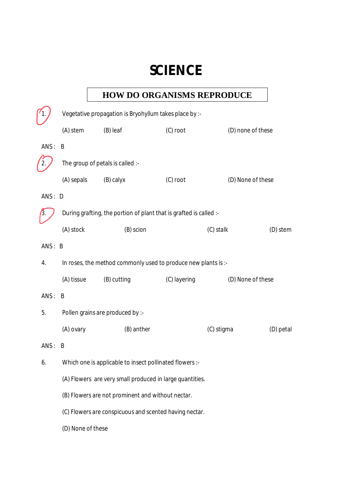# **SCIENCE**

# **HOW DO ORGANISMS REPRODUCE**

|        | Vegetative propagation is Bryohyllum takes place by :-             |                                                          |              |                   |           |
|--------|--------------------------------------------------------------------|----------------------------------------------------------|--------------|-------------------|-----------|
|        | (A) stem                                                           | (B) leaf                                                 | (C) root     | (D) none of these |           |
| ANS:   | B                                                                  |                                                          |              |                   |           |
|        |                                                                    | The group of petals is called :-                         |              |                   |           |
|        | (A) sepals                                                         | (B) calyx                                                | (C) root     | (D) None of these |           |
| ANS: D |                                                                    |                                                          |              |                   |           |
|        | During grafting, the portion of plant that is grafted is called :- |                                                          |              |                   |           |
|        | (A) stock                                                          | (B) scion                                                |              | (C) stalk         | (D) stem  |
| ANS: B |                                                                    |                                                          |              |                   |           |
| 4.     | In roses, the method commonly used to produce new plants is :-     |                                                          |              |                   |           |
|        | (A) tissue                                                         | (B) cutting                                              | (C) layering | (D) None of these |           |
| ANS:   | B                                                                  |                                                          |              |                   |           |
| 5.     |                                                                    | Pollen grains are produced by :-                         |              |                   |           |
|        | (A) ovary                                                          | (B) anther                                               |              | (C) stigma        | (D) petal |
| ANS:   | B                                                                  |                                                          |              |                   |           |
| 6.     |                                                                    | Which one is applicable to insect pollinated flowers :-  |              |                   |           |
|        |                                                                    | (A) Flowers are very small produced in large quantities. |              |                   |           |
|        |                                                                    | (B) Flowers are not prominent and without nectar.        |              |                   |           |
|        |                                                                    | (C) Flowers are conspicuous and scented having nectar.   |              |                   |           |
|        | (D) None of these                                                  |                                                          |              |                   |           |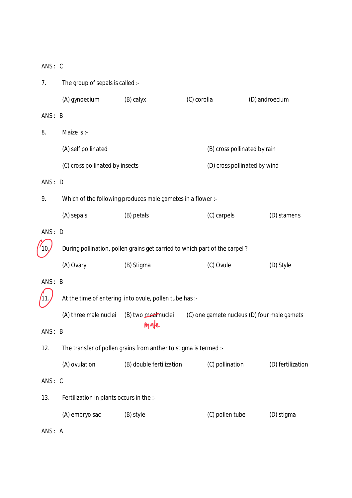| 7.     | The group of sepals is called :-                                           |                                                                  |                                             |                   |
|--------|----------------------------------------------------------------------------|------------------------------------------------------------------|---------------------------------------------|-------------------|
|        | (A) gynoecium                                                              | (B) calyx                                                        | (C) corolla                                 | (D) androecium    |
| ANS: B |                                                                            |                                                                  |                                             |                   |
| 8.     | Maize is :-                                                                |                                                                  |                                             |                   |
|        | (A) self pollinated                                                        |                                                                  | (B) cross pollinated by rain                |                   |
|        | (C) cross pollinated by insects                                            |                                                                  | (D) cross pollinated by wind                |                   |
| ANS: D |                                                                            |                                                                  |                                             |                   |
| 9.     |                                                                            | Which of the following produces male gametes in a flower :-      |                                             |                   |
|        | (A) sepals                                                                 | (B) petals                                                       | (C) carpels                                 | (D) stamens       |
| ANS: D |                                                                            |                                                                  |                                             |                   |
|        | During pollination, pollen grains get carried to which part of the carpel? |                                                                  |                                             |                   |
|        | (A) Ovary                                                                  | (B) Stigma                                                       | (C) Ovule                                   | (D) Style         |
| ANS: B |                                                                            |                                                                  |                                             |                   |
|        |                                                                            | At the time of entering into ovule, pollen tube has :-           |                                             |                   |
|        | (A) three male nuclei                                                      | (B) two meannuclei                                               | (C) one gamete nucleus (D) four male gamets |                   |
| ANS: B |                                                                            | male                                                             |                                             |                   |
| 12.    |                                                                            | The transfer of pollen grains from anther to stigma is termed :- |                                             |                   |
|        | (A) ovulation                                                              | (B) double fertilization                                         | (C) pollination                             | (D) fertilization |
| ANS: C |                                                                            |                                                                  |                                             |                   |
| 13.    | Fertilization in plants occurs in the :-                                   |                                                                  |                                             |                   |
|        | (A) embryo sac                                                             | (B) style                                                        | (C) pollen tube                             | (D) stigma        |
| ANS: A |                                                                            |                                                                  |                                             |                   |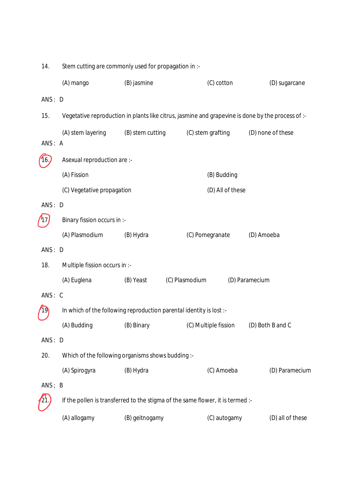| 14.    |                               | Stem cutting are commonly used for propagation in :-                |                                                                                |                                                                                                   |
|--------|-------------------------------|---------------------------------------------------------------------|--------------------------------------------------------------------------------|---------------------------------------------------------------------------------------------------|
|        | (A) mango                     | (B) jasmine                                                         | (C) cotton                                                                     | (D) sugarcane                                                                                     |
| ANS: D |                               |                                                                     |                                                                                |                                                                                                   |
| 15.    |                               |                                                                     |                                                                                | Vegetative reproduction in plants like citrus, jasmine and grapevine is done by the process of :- |
|        | (A) stem layering             | (B) stem cutting                                                    | (C) stem grafting                                                              | (D) none of these                                                                                 |
| ANS: A |                               |                                                                     |                                                                                |                                                                                                   |
|        | Asexual reproduction are :-   |                                                                     |                                                                                |                                                                                                   |
|        | (A) Fission                   |                                                                     | (B) Budding                                                                    |                                                                                                   |
|        | (C) Vegetative propagation    |                                                                     | (D) All of these                                                               |                                                                                                   |
| ANS: D |                               |                                                                     |                                                                                |                                                                                                   |
|        | Binary fission occurs in :-   |                                                                     |                                                                                |                                                                                                   |
|        | (A) Plasmodium                | (B) Hydra                                                           | (C) Pomegranate                                                                | (D) Amoeba                                                                                        |
| ANS: D |                               |                                                                     |                                                                                |                                                                                                   |
| 18.    | Multiple fission occurs in :- |                                                                     |                                                                                |                                                                                                   |
|        | (A) Euglena                   | (B) Yeast                                                           | (C) Plasmodium                                                                 | (D) Paramecium                                                                                    |
| ANS: C |                               |                                                                     |                                                                                |                                                                                                   |
|        |                               | In which of the following reproduction parental identity is lost :- |                                                                                |                                                                                                   |
|        | (A) Budding                   | (B) Binary                                                          | (C) Multiple fission                                                           | (D) Both B and C                                                                                  |
| ANS: D |                               |                                                                     |                                                                                |                                                                                                   |
| 20.    |                               | Which of the following organisms shows budding :-                   |                                                                                |                                                                                                   |
|        | (A) Spirogyra                 | (B) Hydra                                                           | (C) Amoeba                                                                     | (D) Paramecium                                                                                    |
| ANS; B |                               |                                                                     |                                                                                |                                                                                                   |
|        |                               |                                                                     | If the pollen is transferred to the stigma of the same flower, it is termed :- |                                                                                                   |
|        | (A) allogamy                  | (B) geitnogamy                                                      | (C) autogamy                                                                   | (D) all of these                                                                                  |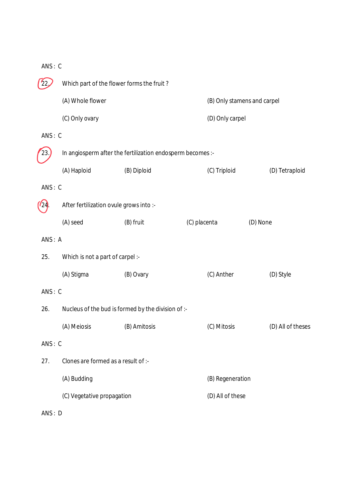|        |                                  | Which part of the flower forms the fruit?                  |                             |                   |
|--------|----------------------------------|------------------------------------------------------------|-----------------------------|-------------------|
|        | (A) Whole flower                 |                                                            | (B) Only stamens and carpel |                   |
|        | (C) Only ovary                   |                                                            | (D) Only carpel             |                   |
| ANS: C |                                  |                                                            |                             |                   |
| 23.    |                                  | In angiosperm after the fertilization endosperm becomes :- |                             |                   |
|        | (A) Haploid                      | (B) Diploid                                                | (C) Triploid                | (D) Tetraploid    |
| ANS: C |                                  |                                                            |                             |                   |
|        |                                  | After fertilization ovule grows into :-                    |                             |                   |
|        | (A) seed                         | (B) fruit                                                  | (C) placenta                | (D) None          |
| ANS: A |                                  |                                                            |                             |                   |
| 25.    | Which is not a part of carpel :- |                                                            |                             |                   |
|        | (A) Stigma                       | (B) Ovary                                                  | (C) Anther                  | (D) Style         |
| ANS: C |                                  |                                                            |                             |                   |
| 26.    |                                  | Nucleus of the bud is formed by the division of :-         |                             |                   |
|        | (A) Meiosis                      | (B) Amitosis                                               | (C) Mitosis                 | (D) All of theses |
| ANS: C |                                  |                                                            |                             |                   |
| 27.    |                                  | Clones are formed as a result of :-                        |                             |                   |
|        | (A) Budding                      |                                                            | (B) Regeneration            |                   |
|        | (C) Vegetative propagation       |                                                            | (D) All of these            |                   |
| ANS: D |                                  |                                                            |                             |                   |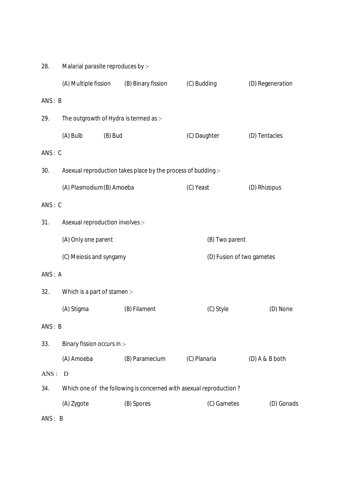| 28.    | Malarial parasite reproduces by :-     |                                                                    |                           |                  |
|--------|----------------------------------------|--------------------------------------------------------------------|---------------------------|------------------|
|        | (A) Multiple fission                   | (B) Binary fission                                                 | (C) Budding               | (D) Regeneration |
| ANS: B |                                        |                                                                    |                           |                  |
| 29.    | The outgrowth of Hydra is termed as :- |                                                                    |                           |                  |
|        | (A) Bulb<br>(B) Bud                    |                                                                    | (C) Daughter              | (D) Tentacles    |
| ANS: C |                                        |                                                                    |                           |                  |
| 30.    |                                        | Asexual reproduction takes place by the process of budding :-      |                           |                  |
|        | (A) Plasmodium (B) Amoeba              |                                                                    | (C) Yeast                 | (D) Rhizopus     |
| ANS: C |                                        |                                                                    |                           |                  |
| 31.    | Asexual reproduction involves :-       |                                                                    |                           |                  |
|        | (A) Only one parent                    |                                                                    | (B) Two parent            |                  |
|        | (C) Meiosis and syngamy                |                                                                    | (D) Fusion of two gametes |                  |
| ANS: A |                                        |                                                                    |                           |                  |
| 32.    | Which is a part of stamen :-           |                                                                    |                           |                  |
|        | (A) Stigma                             | (B) Filament                                                       | (C) Style                 | (D) None         |
| ANS: B |                                        |                                                                    |                           |                  |
| 33.    | Binary fission occurs in :-            |                                                                    |                           |                  |
|        | (A) Amoeba                             | (B) Paramecium                                                     | (C) Planaria              | (D) A & B both   |
| ANS:   | D                                      |                                                                    |                           |                  |
| 34.    |                                        | Which one of the following is concerned with asexual reproduction? |                           |                  |
|        | (A) Zygote                             | (B) Spores                                                         | (C) Gametes               | (D) Gonads       |
| ANS: B |                                        |                                                                    |                           |                  |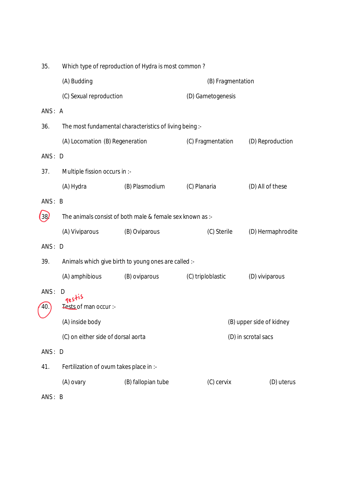| 35.    | Which type of reproduction of Hydra is most common? |                                                           |                   |                          |  |
|--------|-----------------------------------------------------|-----------------------------------------------------------|-------------------|--------------------------|--|
|        | (A) Budding                                         |                                                           | (B) Fragmentation |                          |  |
|        | (C) Sexual reproduction                             |                                                           | (D) Gametogenesis |                          |  |
| ANS: A |                                                     |                                                           |                   |                          |  |
| 36.    |                                                     | The most fundamental characteristics of living being :-   |                   |                          |  |
|        | (A) Locomation (B) Regeneration                     |                                                           | (C) Fragmentation | (D) Reproduction         |  |
| ANS: D |                                                     |                                                           |                   |                          |  |
| 37.    | Multiple fission occurs in :-                       |                                                           |                   |                          |  |
|        | (A) Hydra                                           | (B) Plasmodium                                            | (C) Planaria      | (D) All of these         |  |
| ANS: B |                                                     |                                                           |                   |                          |  |
| (38)   |                                                     | The animals consist of both male & female sex known as :- |                   |                          |  |
|        | (A) Viviparous                                      | (B) Oviparous                                             | (C) Sterile       | (D) Hermaphrodite        |  |
| ANS: D |                                                     |                                                           |                   |                          |  |
| 39.    |                                                     | Animals which give birth to young ones are called :-      |                   |                          |  |
|        | (A) amphibious                                      | (B) oviparous                                             | (C) triploblastic | (D) viviparous           |  |
| ANS:   | D<br>restis                                         |                                                           |                   |                          |  |
| 40.    | Tests of man occur :-                               |                                                           |                   |                          |  |
|        | (A) inside body                                     |                                                           |                   | (B) upper side of kidney |  |
|        | (C) on either side of dorsal aorta                  |                                                           |                   | (D) in scrotal sacs      |  |
| ANS: D |                                                     |                                                           |                   |                          |  |
| 41.    | Fertilization of ovum takes place in :-             |                                                           |                   |                          |  |
|        | (A) ovary                                           | (B) fallopian tube                                        | (C) cervix        | (D) uterus               |  |
| ANS: B |                                                     |                                                           |                   |                          |  |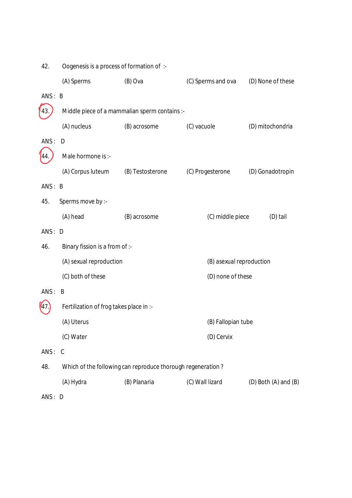| 42.    | Oogenesis is a process of formation of :- |                                                             |                          |                            |
|--------|-------------------------------------------|-------------------------------------------------------------|--------------------------|----------------------------|
|        | (A) Sperms                                | (B) Ova                                                     | (C) Sperms and ova       | (D) None of these          |
| ANS: B |                                           |                                                             |                          |                            |
| 43     |                                           | Middle piece of a mammalian sperm contains :-               |                          |                            |
|        | (A) nucleus                               | (B) acrosome                                                | (C) vacuole              | (D) mitochondria           |
| ANS: D |                                           |                                                             |                          |                            |
|        | Male hormone is :-                        |                                                             |                          |                            |
|        | (A) Corpus luteum                         | (B) Testosterone                                            | (C) Progesterone         | (D) Gonadotropin           |
| ANS: B |                                           |                                                             |                          |                            |
| 45.    | Sperms move by :-                         |                                                             |                          |                            |
|        | (A) head                                  | (B) acrosome                                                | (C) middle piece         | (D) tail                   |
| ANS: D |                                           |                                                             |                          |                            |
| 46.    | Binary fission is a from of :-            |                                                             |                          |                            |
|        | (A) sexual reproduction                   |                                                             | (B) asexual reproduction |                            |
|        | (C) both of these                         |                                                             | (D) none of these        |                            |
| ANS:   | B                                         |                                                             |                          |                            |
|        | Fertilization of frog takes place in :-   |                                                             |                          |                            |
|        | (A) Uterus                                |                                                             | (B) Fallopian tube       |                            |
|        | (C) Water                                 |                                                             | (D) Cervix               |                            |
| ANS: C |                                           |                                                             |                          |                            |
| 48.    |                                           | Which of the following can reproduce thorough regeneration? |                          |                            |
|        | (A) Hydra                                 | (B) Planaria                                                | (C) Wall lizard          | $(D)$ Both $(A)$ and $(B)$ |
| ANS: D |                                           |                                                             |                          |                            |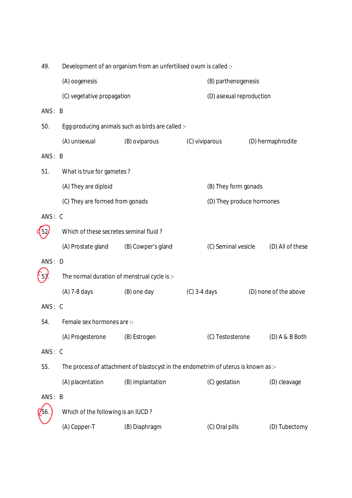| 49.      |                                        | Development of an organism from an unfertilised ovum is called :-                  |                |                           |                       |
|----------|----------------------------------------|------------------------------------------------------------------------------------|----------------|---------------------------|-----------------------|
|          | (A) oogenesis                          |                                                                                    |                | (B) parthenogenesis       |                       |
|          | (C) vegetative propagation             |                                                                                    |                | (D) asexual reproduction  |                       |
| ANS: B   |                                        |                                                                                    |                |                           |                       |
| 50.      |                                        | Egg-producing animals such as birds are called :-                                  |                |                           |                       |
|          | (A) unisexual                          | (B) oviparous                                                                      | (C) viviparous |                           | (D) hermaphrodite     |
| ANS: B   |                                        |                                                                                    |                |                           |                       |
| 51.      | What is true for gametes?              |                                                                                    |                |                           |                       |
|          | (A) They are diploid                   |                                                                                    |                | (B) They form gonads      |                       |
|          | (C) They are formed from gonads        |                                                                                    |                | (D) They produce hormones |                       |
| ANS: C   |                                        |                                                                                    |                |                           |                       |
| 52       | Which of these secretes seminal fluid? |                                                                                    |                |                           |                       |
|          | (A) Prostate gland                     | (B) Cowper's gland                                                                 |                | (C) Seminal vesicle       | (D) All of these      |
| ANS: D   |                                        |                                                                                    |                |                           |                       |
| $f_{5j}$ |                                        | The normal duration of menstrual cycle is :-                                       |                |                           |                       |
|          | (A) 7-8 days                           | (B) one day                                                                        | $(C)$ 3-4 days |                           | (D) none of the above |
| ANS: C   |                                        |                                                                                    |                |                           |                       |
| 54.      | Female sex hormones are :-             |                                                                                    |                |                           |                       |
|          | (A) Progesterone                       | (B) Estrogen                                                                       |                | (C) Testosterone          | $(D)$ A & B Both      |
| ANS: C   |                                        |                                                                                    |                |                           |                       |
| 55.      |                                        | The process of attachment of blastocyst in the endometrim of uterus is known as :- |                |                           |                       |
|          | (A) placentation                       | (B) implantation                                                                   |                | (C) gestation             | (D) cleavage          |
| ANS: B   |                                        |                                                                                    |                |                           |                       |
| 56       | Which of the following is an IUCD?     |                                                                                    |                |                           |                       |
|          | (A) Copper-T                           | (B) Diaphragm                                                                      |                | (C) Oral pills            | (D) Tubectomy         |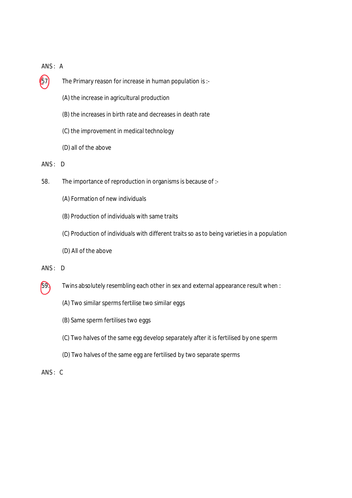#### ANS : A

- $\left(57\right)$  The Primary reason for increase in human population is :-
	- (A) the increase in agricultural production
	- (B) the increases in birth rate and decreases in death rate
	- (C) the improvement in medical technology
	- (D) all of the above
- ANS : D
- 58. The importance of reproduction in organisms is because of :-
	- (A) Formation of new individuals
	- (B) Production of individuals with same traits
	- (C) Production of individuals with different traits so as to being varieties in a population
	- (D) All of the above
- ANS : D
- 59. Twins absolutely resembling each other in sex and external appearance result when :
	- (A) Two similar sperms fertilise two similar eggs
	- (B) Same sperm fertilises two eggs
	- (C) Two halves of the same egg develop separately after it is fertilised by one sperm
	- (D) Two halves of the same egg are fertilised by two separate sperms
- ANS : C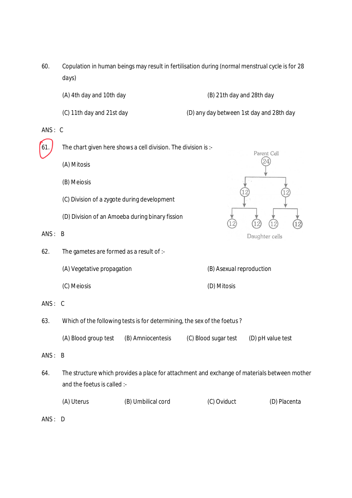- 60. Copulation in human beings may result in fertilisation during (normal menstrual cycle is for 28 days)
	- (A) 4th day and 10th day (B) 21th day and 28th day
	- (C) 11th day and 21st day (D) any day between 1st day and 28th day
- 

- ANS : C
- 61. The chart given here shows a cell division. The division is :-
	- (A) Mitosis
	- (B) Meiosis
	- (C) Division of a zygote during development
	- (D) Division of an Amoeba during binary fission
- ANS : B
- 62. The gametes are formed as a result of :-
	- (A) Vegetative propagation (B) Asexual reproduction
	- (C) Meiosis (D) Mitosis

- 63. Which of the following tests is for determining, the sex of the foetus ?
	- (A) Blood group test (B) Amniocentesis (C) Blood sugar test (D) pH value test
- ANS : B
- 64. The structure which provides a place for attachment and exchange of materials between mother and the foetus is called :-
	- (A) Uterus (B) Umbilical cord (C) Oviduct (D) Placenta
- ANS : D

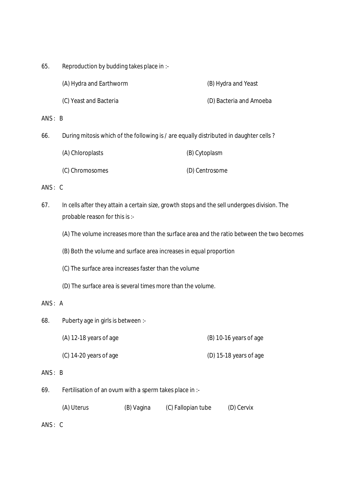| 65. | Reproduction by budding takes place in :- |
|-----|-------------------------------------------|
|-----|-------------------------------------------|

| (A) Hydra and Earthworm | (B) Hydra and Yeast     |
|-------------------------|-------------------------|
| (C) Yeast and Bacteria  | (D) Bacteria and Amoeba |

ANS : B

66. During mitosis which of the following is / are equally distributed in daughter cells ?

| (A) Chloroplasts | (B) Cytoplasm  |
|------------------|----------------|
| (C) Chromosomes  | (D) Centrosome |

ANS : C

- 67. In cells after they attain a certain size, growth stops and the sell undergoes division. The probable reason for this is :-
	- (A) The volume increases more than the surface area and the ratio between the two becomes
	- (B) Both the volume and surface area increases in equal proportion
	- (C) The surface area increases faster than the volume
	- (D) The surface area is several times more than the volume.

## ANS : A

- 68. Puberty age in girls is between :-
	- $(A)$  12-18 years of age  $(B)$  10-16 years of age
	- (C) 14-20 years of age (D) 15-18 years of age

#### ANS : B

69. Fertilisation of an ovum with a sperm takes place in :-

| (A) Uterus | (B) Vagina | (C) Fallopian tube | (D) Cervix |
|------------|------------|--------------------|------------|
|            |            |                    |            |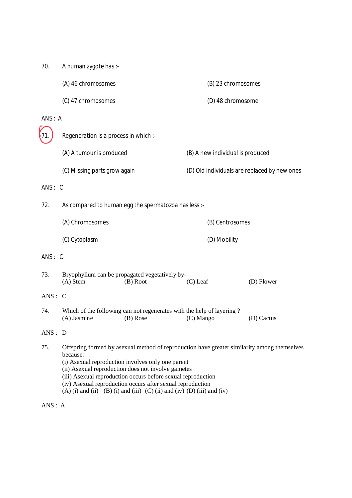70. A human zygote has :-

| (A) 46 chromosomes | (B) 23 chromosomes |
|--------------------|--------------------|
| (C) 47 chromosomes | (D) 48 chromosome  |

#### ANS : A

| $\sqrt{1}$ | Regeneration is a process in which :- |                                              |
|------------|---------------------------------------|----------------------------------------------|
|            | (A) A tumour is produced              | (B) A new individual is produced             |
|            | (C) Missing parts grow again          | (D) Old individuals are replaced by new ones |

ANS : C

72. As compared to human egg the spermatozoa has less :-

| (A) Chromosomes | (B) Centrosomes |
|-----------------|-----------------|
| (C) Cytoplasm   | (D) Mobility    |

#### ANS : C

| 73. | Bryophyllum can be propagated vegetatively by- |          |            |            |
|-----|------------------------------------------------|----------|------------|------------|
|     | (A) Stem                                       | (B) Root | $(C)$ Leaf | (D) Flower |

## ANS : C

74. Which of the following can not regenerates with the help of layering ?<br>(A) Jasmine (B) Rose (C) Mango (A) Jasmine (B) Rose (C) Mango (D) Cactus

#### ANS : D

- 75. Offspring formed by asexual method of reproduction have greater similarity among themselves because:
	- (i) Asexual reproduction involves only one parent
	- (ii) Asexual reproduction does not involve gametes
	- (iii) Asexual reproduction occurs before sexual reproduction
	- (iv) Asexual reproduction occurs after sexual reproduction
	- (A) (i) and (ii) (B) (i) and (iii) (C) (ii) and (iv) (D) (iii) and (iv)

ANS : A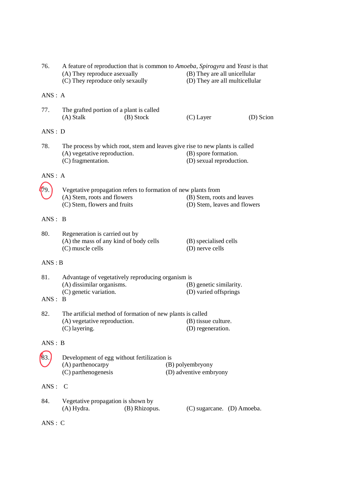| 76.     | A feature of reproduction that is common to Amoeba, Spirogyra and Yeast is that<br>(A) They reproduce asexually<br>(B) They are all unicellular<br>(C) They reproduce only sexaully<br>(D) They are all multicellular |                                          |                                                  |           |  |
|---------|-----------------------------------------------------------------------------------------------------------------------------------------------------------------------------------------------------------------------|------------------------------------------|--------------------------------------------------|-----------|--|
| ANS: A  |                                                                                                                                                                                                                       |                                          |                                                  |           |  |
| 77.     | The grafted portion of a plant is called<br>(A) Stalk                                                                                                                                                                 | (B) Stock                                | $(C)$ Layer                                      | (D) Scion |  |
| ANS: D  |                                                                                                                                                                                                                       |                                          |                                                  |           |  |
| 78.     | The process by which root, stem and leaves give rise to new plants is called<br>(B) spore formation.<br>(A) vegetative reproduction.<br>(C) fragmentation.<br>(D) sexual reproduction.                                |                                          |                                                  |           |  |
| ANS: A  |                                                                                                                                                                                                                       |                                          |                                                  |           |  |
|         | Vegetative propagation refers to formation of new plants from<br>(A) Stem, roots and flowers<br>(B) Stem, roots and leaves<br>(C) Stem, flowers and fruits<br>(D) Stem, leaves and flowers                            |                                          |                                                  |           |  |
| ANS: B  |                                                                                                                                                                                                                       |                                          |                                                  |           |  |
| 80.     | Regeneration is carried out by<br>(A) the mass of any kind of body cells<br>(C) muscle cells                                                                                                                          | (B) specialised cells<br>(D) nerve cells |                                                  |           |  |
| ANS : B |                                                                                                                                                                                                                       |                                          |                                                  |           |  |
| 81.     | Advantage of vegetatively reproducing organism is                                                                                                                                                                     |                                          |                                                  |           |  |
| ANS: B  | (A) dissimilar organisms.<br>(C) genetic variation.                                                                                                                                                                   |                                          | (B) genetic similarity.<br>(D) varied offsprings |           |  |
| 82.     | The artificial method of formation of new plants is called                                                                                                                                                            |                                          |                                                  |           |  |
|         | (A) vegetative reproduction.<br>(C) layering.                                                                                                                                                                         |                                          | (B) tissue culture.<br>(D) regeneration.         |           |  |
| ANS: B  |                                                                                                                                                                                                                       |                                          |                                                  |           |  |
|         | Development of egg without fertilization is<br>(A) parthenocarpy<br>(C) parthenogenesis                                                                                                                               |                                          | (B) polyembryony<br>(D) adventive embryony       |           |  |
| ANS:    | $\mathcal{C}$                                                                                                                                                                                                         |                                          |                                                  |           |  |
| 84.     | Vegetative propagation is shown by<br>(A) Hydra.                                                                                                                                                                      | (B) Rhizopus.                            | (C) sugarcane. (D) Amoeba.                       |           |  |
| ANS: C  |                                                                                                                                                                                                                       |                                          |                                                  |           |  |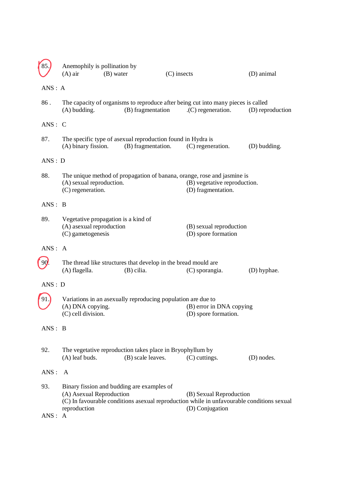|               | $(A)$ air                                     | Anemophily is pollination by<br>(B) water                                         | $(C)$ insects                                                                                                                           | (D) animal       |
|---------------|-----------------------------------------------|-----------------------------------------------------------------------------------|-----------------------------------------------------------------------------------------------------------------------------------------|------------------|
| ANS: A        |                                               |                                                                                   |                                                                                                                                         |                  |
| 86.           | $(A)$ budding.                                | (B) fragmentation                                                                 | The capacity of organisms to reproduce after being cut into many pieces is called<br>$(C)$ regeneration.                                | (D) reproduction |
| ANS: C        |                                               |                                                                                   |                                                                                                                                         |                  |
| 87.           | (A) binary fission.                           | The specific type of asexual reproduction found in Hydra is<br>(B) fragmentation. | (C) regeneration.                                                                                                                       | (D) budding.     |
| ANS: D        |                                               |                                                                                   |                                                                                                                                         |                  |
| 88.           | (A) sexual reproduction.<br>(C) regeneration. |                                                                                   | The unique method of propagation of banana, orange, rose and jasmine is<br>(B) vegetative reproduction.<br>(D) fragmentation.           |                  |
| ANS: B        |                                               |                                                                                   |                                                                                                                                         |                  |
| 89.           | (A) asexual reproduction<br>(C) gametogenesis | Vegetative propagation is a kind of                                               | (B) sexual reproduction<br>(D) spore formation                                                                                          |                  |
| ANS: A        |                                               |                                                                                   |                                                                                                                                         |                  |
| 90            | (A) flagella.                                 | The thread like structures that develop in the bread mould are<br>(B) cilia.      | (C) sporangia.                                                                                                                          | (D) hyphae.      |
| ANS: D        |                                               |                                                                                   |                                                                                                                                         |                  |
|               | (A) DNA copying.<br>(C) cell division.        | Variations in an asexually reproducing population are due to                      | (B) error in DNA copying<br>(D) spore formation.                                                                                        |                  |
| ANS: B        |                                               |                                                                                   |                                                                                                                                         |                  |
| 92.           | $(A)$ leaf buds.                              | The vegetative reproduction takes place in Bryophyllum by<br>(B) scale leaves.    | (C) cuttings.                                                                                                                           | (D) nodes.       |
| ANS:          | A                                             |                                                                                   |                                                                                                                                         |                  |
| 93.<br>ANS: A | (A) Asexual Reproduction<br>reproduction      | Binary fission and budding are examples of                                        | (B) Sexual Reproduction<br>(C) In favourable conditions asexual reproduction while in unfavourable conditions sexual<br>(D) Conjugation |                  |
|               |                                               |                                                                                   |                                                                                                                                         |                  |